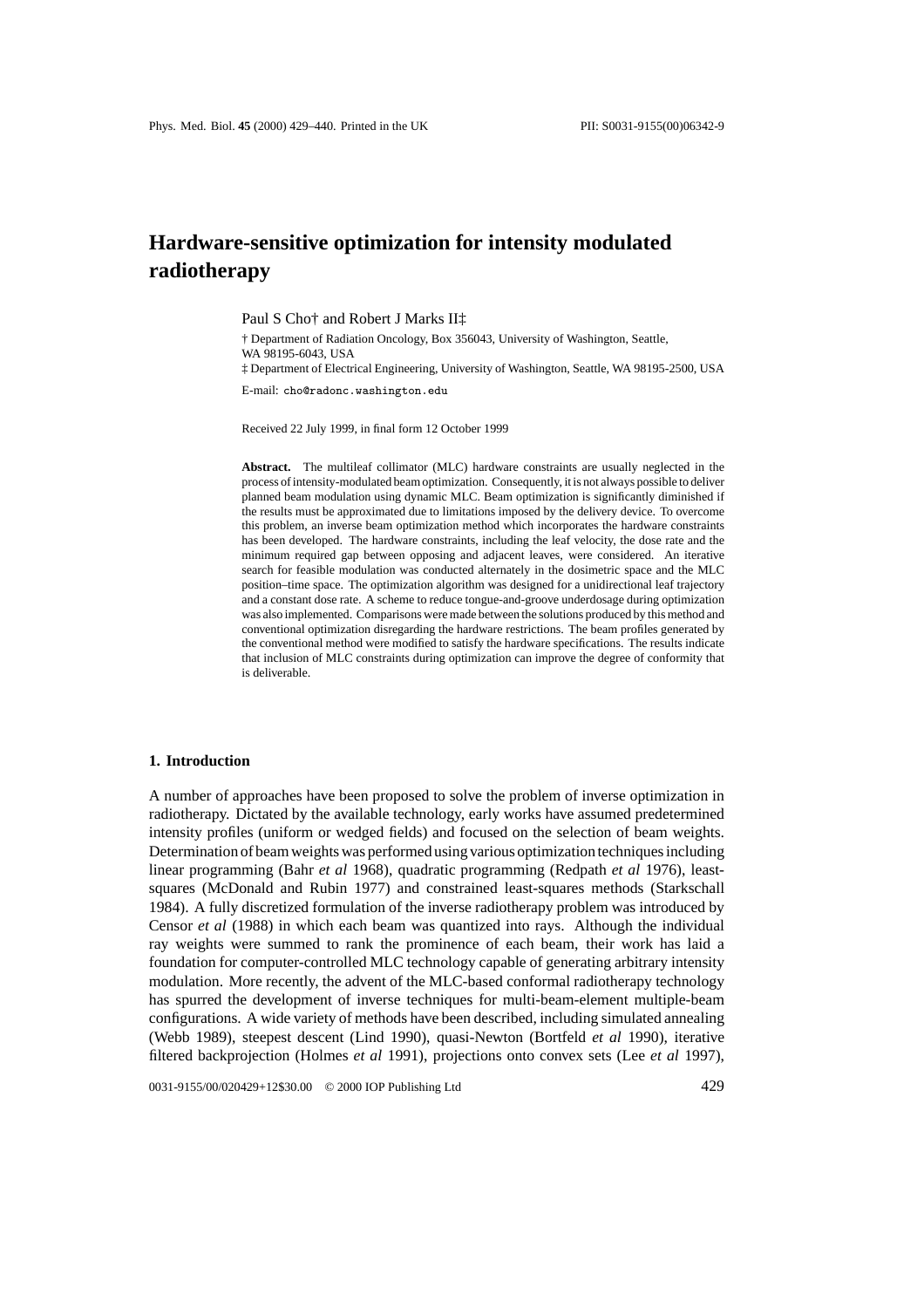# **Hardware-sensitive optimization for intensity modulated radiotherapy**

Paul S Cho† and Robert J Marks II‡

† Department of Radiation Oncology, Box 356043, University of Washington, Seattle, WA 98195-6043, USA ‡ Department of Electrical Engineering, University of Washington, Seattle, WA 98195-2500, USA

E-mail: cho@radonc.washington.edu

Received 22 July 1999, in final form 12 October 1999

**Abstract.** The multileaf collimator (MLC) hardware constraints are usually neglected in the process of intensity-modulated beam optimization. Consequently, it is not always possible to deliver planned beam modulation using dynamic MLC. Beam optimization is significantly diminished if the results must be approximated due to limitations imposed by the delivery device. To overcome this problem, an inverse beam optimization method which incorporates the hardware constraints has been developed. The hardware constraints, including the leaf velocity, the dose rate and the minimum required gap between opposing and adjacent leaves, were considered. An iterative search for feasible modulation was conducted alternately in the dosimetric space and the MLC position–time space. The optimization algorithm was designed for a unidirectional leaf trajectory and a constant dose rate. A scheme to reduce tongue-and-groove underdosage during optimization was also implemented. Comparisons were made between the solutions produced by this method and conventional optimization disregarding the hardware restrictions. The beam profiles generated by the conventional method were modified to satisfy the hardware specifications. The results indicate that inclusion of MLC constraints during optimization can improve the degree of conformity that is deliverable.

### **1. Introduction**

A number of approaches have been proposed to solve the problem of inverse optimization in radiotherapy. Dictated by the available technology, early works have assumed predetermined intensity profiles (uniform or wedged fields) and focused on the selection of beam weights. Determination of beam weights was performed using various optimization techniques including linear programming (Bahr *et al* 1968), quadratic programming (Redpath *et al* 1976), leastsquares (McDonald and Rubin 1977) and constrained least-squares methods (Starkschall 1984). A fully discretized formulation of the inverse radiotherapy problem was introduced by Censor *et al* (1988) in which each beam was quantized into rays. Although the individual ray weights were summed to rank the prominence of each beam, their work has laid a foundation for computer-controlled MLC technology capable of generating arbitrary intensity modulation. More recently, the advent of the MLC-based conformal radiotherapy technology has spurred the development of inverse techniques for multi-beam-element multiple-beam configurations. A wide variety of methods have been described, including simulated annealing (Webb 1989), steepest descent (Lind 1990), quasi-Newton (Bortfeld *et al* 1990), iterative filtered backprojection (Holmes *et al* 1991), projections onto convex sets (Lee *et al* 1997),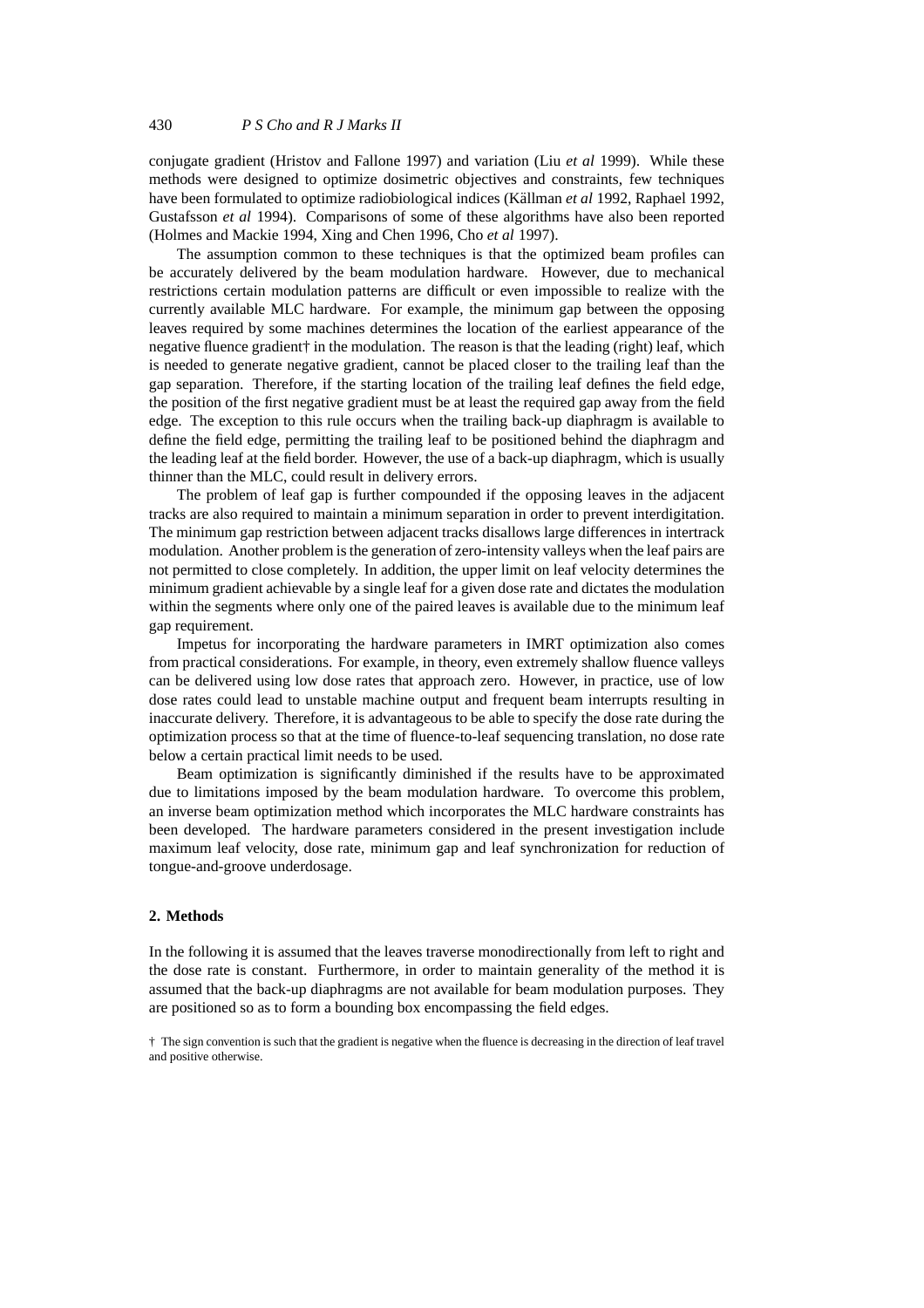conjugate gradient (Hristov and Fallone 1997) and variation (Liu *et al* 1999). While these methods were designed to optimize dosimetric objectives and constraints, few techniques have been formulated to optimize radiobiological indices (Källman *et al* 1992, Raphael 1992, Gustafsson *et al* 1994). Comparisons of some of these algorithms have also been reported (Holmes and Mackie 1994, Xing and Chen 1996, Cho *et al* 1997).

The assumption common to these techniques is that the optimized beam profiles can be accurately delivered by the beam modulation hardware. However, due to mechanical restrictions certain modulation patterns are difficult or even impossible to realize with the currently available MLC hardware. For example, the minimum gap between the opposing leaves required by some machines determines the location of the earliest appearance of the negative fluence gradient† in the modulation. The reason is that the leading (right) leaf, which is needed to generate negative gradient, cannot be placed closer to the trailing leaf than the gap separation. Therefore, if the starting location of the trailing leaf defines the field edge, the position of the first negative gradient must be at least the required gap away from the field edge. The exception to this rule occurs when the trailing back-up diaphragm is available to define the field edge, permitting the trailing leaf to be positioned behind the diaphragm and the leading leaf at the field border. However, the use of a back-up diaphragm, which is usually thinner than the MLC, could result in delivery errors.

The problem of leaf gap is further compounded if the opposing leaves in the adjacent tracks are also required to maintain a minimum separation in order to prevent interdigitation. The minimum gap restriction between adjacent tracks disallows large differences in intertrack modulation. Another problem is the generation of zero-intensity valleys when the leaf pairs are not permitted to close completely. In addition, the upper limit on leaf velocity determines the minimum gradient achievable by a single leaf for a given dose rate and dictates the modulation within the segments where only one of the paired leaves is available due to the minimum leaf gap requirement.

Impetus for incorporating the hardware parameters in IMRT optimization also comes from practical considerations. For example, in theory, even extremely shallow fluence valleys can be delivered using low dose rates that approach zero. However, in practice, use of low dose rates could lead to unstable machine output and frequent beam interrupts resulting in inaccurate delivery. Therefore, it is advantageous to be able to specify the dose rate during the optimization process so that at the time of fluence-to-leaf sequencing translation, no dose rate below a certain practical limit needs to be used.

Beam optimization is significantly diminished if the results have to be approximated due to limitations imposed by the beam modulation hardware. To overcome this problem, an inverse beam optimization method which incorporates the MLC hardware constraints has been developed. The hardware parameters considered in the present investigation include maximum leaf velocity, dose rate, minimum gap and leaf synchronization for reduction of tongue-and-groove underdosage.

# **2. Methods**

In the following it is assumed that the leaves traverse monodirectionally from left to right and the dose rate is constant. Furthermore, in order to maintain generality of the method it is assumed that the back-up diaphragms are not available for beam modulation purposes. They are positioned so as to form a bounding box encompassing the field edges.

† The sign convention is such that the gradient is negative when the fluence is decreasing in the direction of leaf travel and positive otherwise.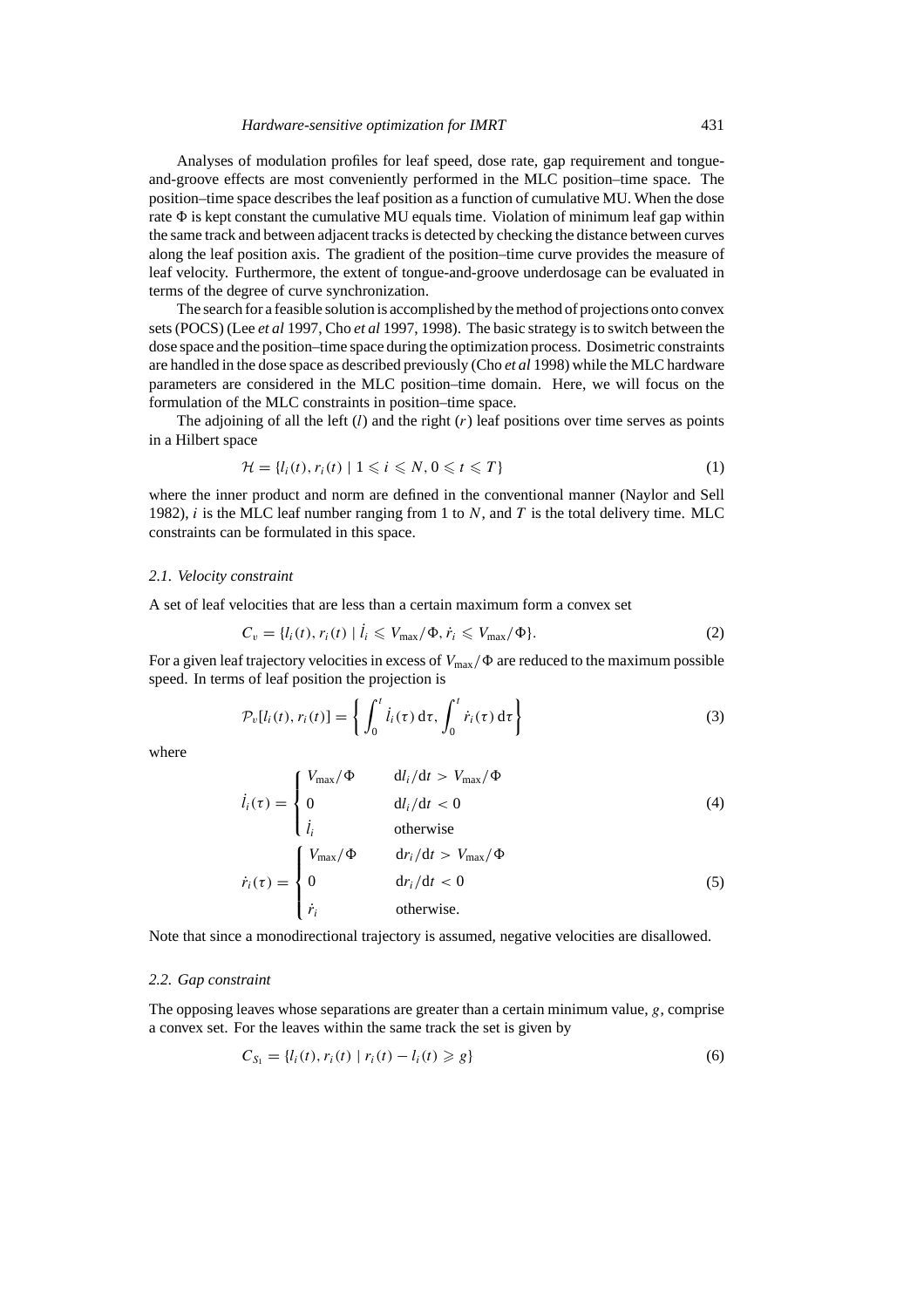Analyses of modulation profiles for leaf speed, dose rate, gap requirement and tongueand-groove effects are most conveniently performed in the MLC position–time space. The position–time space describes the leaf position as a function of cumulative MU. When the dose rate  $\Phi$  is kept constant the cumulative MU equals time. Violation of minimum leaf gap within the same track and between adjacent tracks is detected by checking the distance between curves along the leaf position axis. The gradient of the position–time curve provides the measure of leaf velocity. Furthermore, the extent of tongue-and-groove underdosage can be evaluated in terms of the degree of curve synchronization.

The search for a feasible solution is accomplished by the method of projections onto convex sets (POCS) (Lee *et al* 1997, Cho *et al* 1997, 1998). The basic strategy is to switch between the dose space and the position–time space during the optimization process. Dosimetric constraints are handled in the dose space as described previously (Cho *et al* 1998) while the MLC hardware parameters are considered in the MLC position–time domain. Here, we will focus on the formulation of the MLC constraints in position–time space.

The adjoining of all the left (*l*) and the right (*r*) leaf positions over time serves as points in a Hilbert space

$$
\mathcal{H} = \{l_i(t), r_i(t) \mid 1 \leq i \leq N, 0 \leq t \leq T\}
$$
\n<sup>(1)</sup>

where the inner product and norm are defined in the conventional manner (Naylor and Sell 1982), *i* is the MLC leaf number ranging from 1 to *N*, and *T* is the total delivery time. MLC constraints can be formulated in this space.

#### *2.1. Velocity constraint*

A set of leaf velocities that are less than a certain maximum form a convex set

$$
C_v = \{l_i(t), r_i(t) \mid l_i \leqslant V_{\text{max}}/\Phi, r_i \leqslant V_{\text{max}}/\Phi\}.
$$
\n
$$
(2)
$$

For a given leaf trajectory velocities in excess of  $V_{\text{max}}/\Phi$  are reduced to the maximum possible speed. In terms of leaf position the projection is

$$
\mathcal{P}_{\nu}[l_i(t), r_i(t)] = \left\{ \int_0^t \dot{l}_i(\tau) d\tau, \int_0^t \dot{r}_i(\tau) d\tau \right\}
$$
\n(3)

where

$$
l_i(\tau) = \begin{cases} V_{\text{max}}/\Phi & d l_i/dt > V_{\text{max}}/\Phi \\ 0 & d l_i/dt < 0 \\ l_i & \text{otherwise} \end{cases}
$$
 (4)

$$
\dot{r}_i(\tau) = \begin{cases} V_{\text{max}}/\Phi & \text{d}r_i/\text{d}t > V_{\text{max}}/\Phi \\ 0 & \text{d}r_i/\text{d}t < 0 \\ \dot{r}_i & \text{otherwise.} \end{cases} \tag{5}
$$

Note that since a monodirectional trajectory is assumed, negative velocities are disallowed.

### *2.2. Gap constraint*

The opposing leaves whose separations are greater than a certain minimum value, *g*, comprise a convex set. For the leaves within the same track the set is given by

$$
C_{S_1} = \{l_i(t), r_i(t) \mid r_i(t) - l_i(t) \geq g\}
$$
\n(6)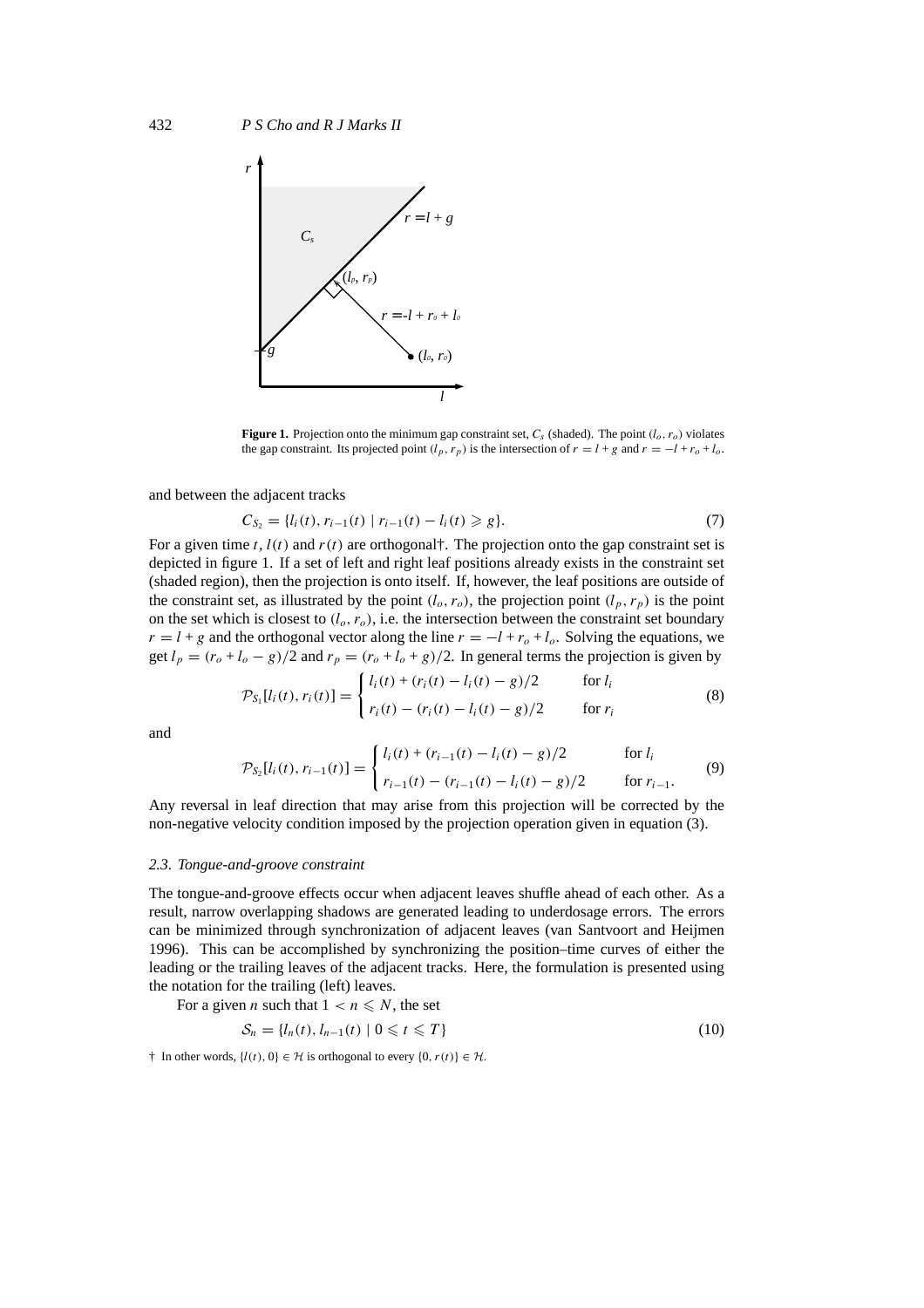

**Figure 1.** Projection onto the minimum gap constraint set,  $C_s$  (shaded). The point  $(l_o, r_o)$  violates the gap constraint. Its projected point  $(l_p, r_p)$  is the intersection of  $r = l + g$  and  $r = -l + r_o + l_o$ .

and between the adjacent tracks

$$
C_{S_2} = \{l_i(t), r_{i-1}(t) \mid r_{i-1}(t) - l_i(t) \ge g\}.
$$
\n<sup>(7)</sup>

For a given time *t*,  $l(t)$  and  $r(t)$  are orthogonal<sup>†</sup>. The projection onto the gap constraint set is depicted in figure 1. If a set of left and right leaf positions already exists in the constraint set (shaded region), then the projection is onto itself. If, however, the leaf positions are outside of the constraint set, as illustrated by the point  $(l_o, r_o)$ , the projection point  $(l_p, r_p)$  is the point on the set which is closest to  $(l_o, r_o)$ , i.e. the intersection between the constraint set boundary  $r = l + g$  and the orthogonal vector along the line  $r = -l + r_o + l_o$ . Solving the equations, we get  $l_p = (r_o + l_o - g)/2$  and  $r_p = (r_o + l_o + g)/2$ . In general terms the projection is given by

$$
\mathcal{P}_{S_1}[l_i(t), r_i(t)] = \begin{cases} l_i(t) + (r_i(t) - l_i(t) - g)/2 & \text{for } l_i \\ r_i(t) - (r_i(t) - l_i(t) - g)/2 & \text{for } r_i \end{cases}
$$
(8)

and

$$
\mathcal{P}_{S_2}[l_i(t), r_{i-1}(t)] = \begin{cases} l_i(t) + (r_{i-1}(t) - l_i(t) - g)/2 & \text{for } l_i \\ r_{i-1}(t) - (r_{i-1}(t) - l_i(t) - g)/2 & \text{for } r_{i-1}. \end{cases}
$$
(9)

Any reversal in leaf direction that may arise from this projection will be corrected by the non-negative velocity condition imposed by the projection operation given in equation (3).

## *2.3. Tongue-and-groove constraint*

The tongue-and-groove effects occur when adjacent leaves shuffle ahead of each other. As a result, narrow overlapping shadows are generated leading to underdosage errors. The errors can be minimized through synchronization of adjacent leaves (van Santvoort and Heijmen 1996). This can be accomplished by synchronizing the position–time curves of either the leading or the trailing leaves of the adjacent tracks. Here, the formulation is presented using the notation for the trailing (left) leaves.

For a given *n* such that  $1 < n \leq N$ , the set

$$
\mathcal{S}_n = \{l_n(t), l_{n-1}(t) \mid 0 \leq t \leq T\}
$$
\n
$$
(10)
$$

† In other words, {*l*(*t*), 0} ∈ *H* is orthogonal to every {0*, r*(*t*)} ∈ *H*.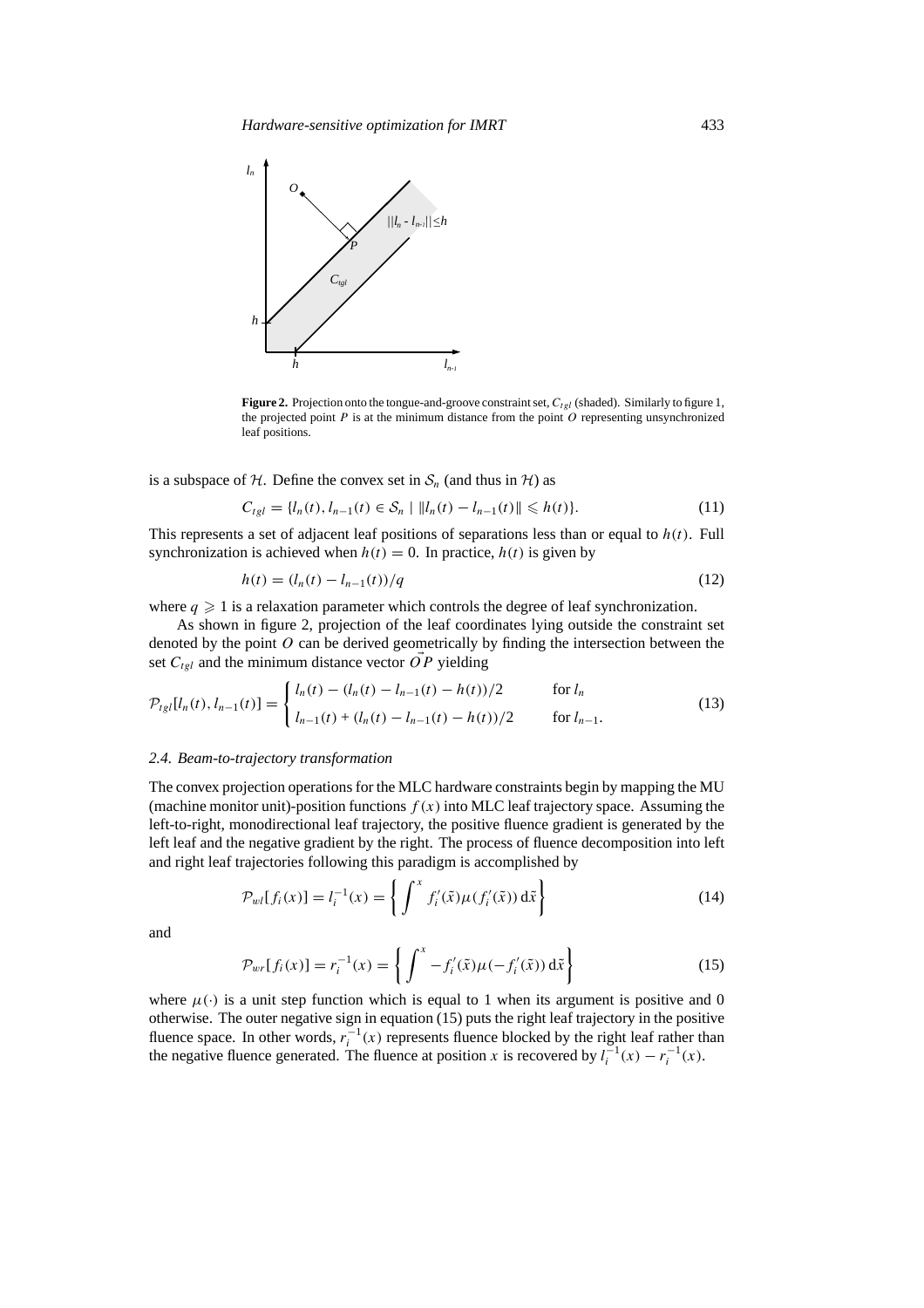

Figure 2. Projection onto the tongue-and-groove constraint set,  $C_{tgt}$  (shaded). Similarly to figure 1, the projected point *P* is at the minimum distance from the point *O* representing unsynchronized leaf positions.

is a subspace of  $H$ . Define the convex set in  $S_n$  (and thus in  $H$ ) as

$$
C_{tgl} = \{l_n(t), l_{n-1}(t) \in S_n \mid ||l_n(t) - l_{n-1}(t)|| \leq h(t)\}.
$$
 (11)

This represents a set of adjacent leaf positions of separations less than or equal to  $h(t)$ . Full synchronization is achieved when  $h(t) = 0$ . In practice,  $h(t)$  is given by

$$
h(t) = (l_n(t) - l_{n-1}(t))/q
$$
\n(12)

where  $q \geq 1$  is a relaxation parameter which controls the degree of leaf synchronization.

As shown in figure 2, projection of the leaf coordinates lying outside the constraint set denoted by the point *O* can be derived geometrically by finding the intersection between the set  $C_{tgl}$  and the minimum distance vector  $OP$  yielding

$$
\mathcal{P}_{tgl}[l_n(t), l_{n-1}(t)] = \begin{cases} l_n(t) - (l_n(t) - l_{n-1}(t) - h(t))/2 & \text{for } l_n \\ l_{n-1}(t) + (l_n(t) - l_{n-1}(t) - h(t))/2 & \text{for } l_{n-1}. \end{cases}
$$
\n(13)

#### *2.4. Beam-to-trajectory transformation*

The convex projection operations for the MLC hardware constraints begin by mapping the MU (machine monitor unit)-position functions  $f(x)$  into MLC leaf trajectory space. Assuming the left-to-right, monodirectional leaf trajectory, the positive fluence gradient is generated by the left leaf and the negative gradient by the right. The process of fluence decomposition into left and right leaf trajectories following this paradigm is accomplished by

$$
\mathcal{P}_{wl}[f_i(x)] = l_i^{-1}(x) = \left\{ \int^x f'_i(\tilde{x}) \mu(f'_i(\tilde{x})) d\tilde{x} \right\}
$$
\n(14)

and

$$
\mathcal{P}_{wr}[f_i(x)] = r_i^{-1}(x) = \left\{ \int^x -f'_i(\tilde{x})\mu(-f'_i(\tilde{x})) d\tilde{x} \right\}
$$
 (15)

where  $\mu(\cdot)$  is a unit step function which is equal to 1 when its argument is positive and 0 otherwise. The outer negative sign in equation (15) puts the right leaf trajectory in the positive fluence space. In other words,  $r_i^{-1}(x)$  represents fluence blocked by the right leaf rather than the negative fluence generated. The fluence at position *x* is recovered by  $l_i^{-1}(x) - r_i^{-1}(x)$ .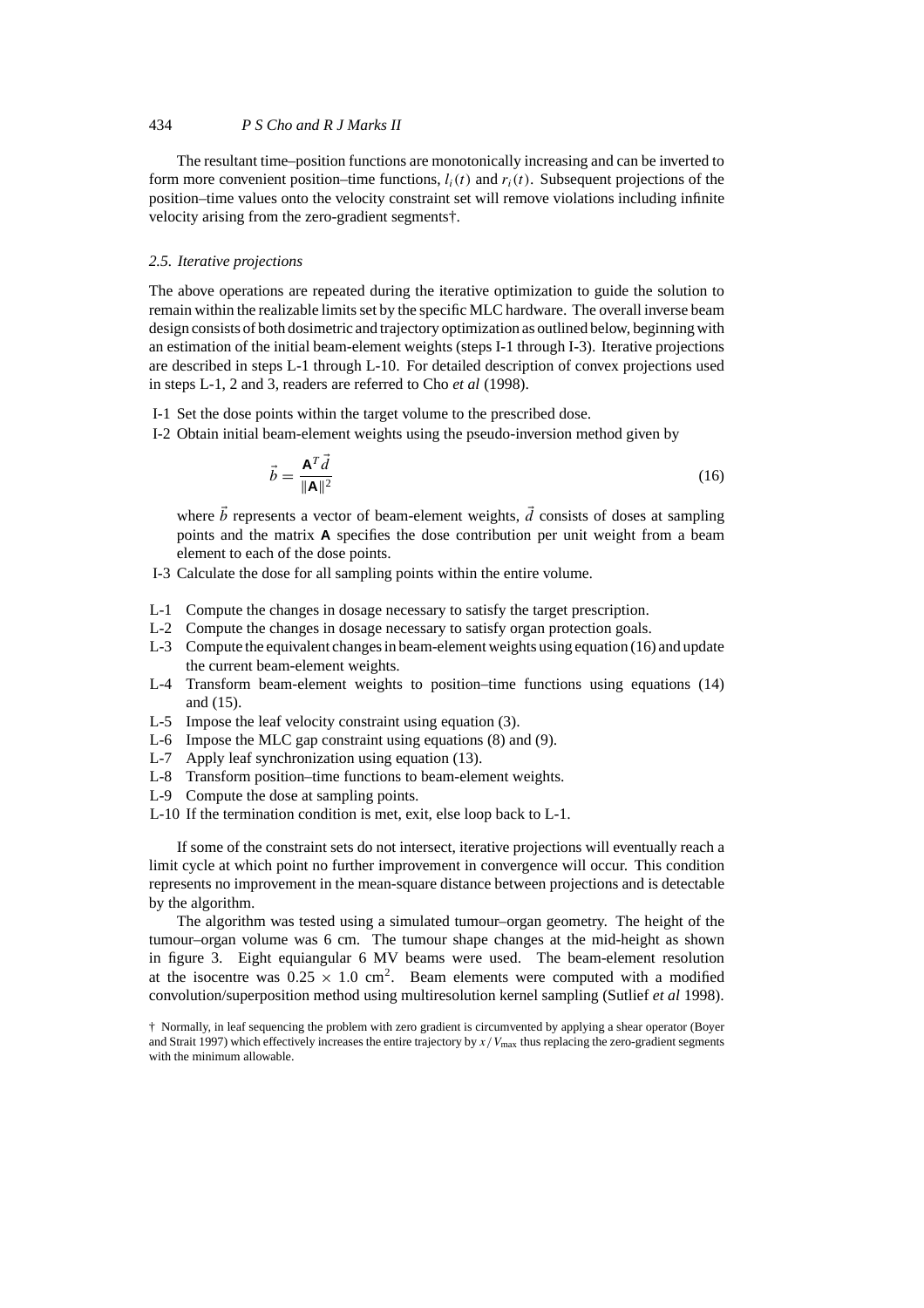# 434 *P S Cho and R J Marks II*

The resultant time–position functions are monotonically increasing and can be inverted to form more convenient position–time functions,  $l_i(t)$  and  $r_i(t)$ . Subsequent projections of the position–time values onto the velocity constraint set will remove violations including infinite velocity arising from the zero-gradient segments†.

## *2.5. Iterative projections*

The above operations are repeated during the iterative optimization to guide the solution to remain within the realizable limits set by the specific MLC hardware. The overall inverse beam design consists of both dosimetric and trajectory optimization as outlined below, beginning with an estimation of the initial beam-element weights (steps I-1 through I-3). Iterative projections are described in steps L-1 through L-10. For detailed description of convex projections used in steps L-1, 2 and 3, readers are referred to Cho *et al* (1998).

- I-1 Set the dose points within the target volume to the prescribed dose.
- I-2 Obtain initial beam-element weights using the pseudo-inversion method given by

$$
\vec{b} = \frac{\mathbf{A}^T \vec{d}}{\|\mathbf{A}\|^2} \tag{16}
$$

where  $\vec{b}$  represents a vector of beam-element weights,  $\vec{d}$  consists of doses at sampling points and the matrix **A** specifies the dose contribution per unit weight from a beam element to each of the dose points.

- I-3 Calculate the dose for all sampling points within the entire volume.
- L-1 Compute the changes in dosage necessary to satisfy the target prescription.
- L-2 Compute the changes in dosage necessary to satisfy organ protection goals.
- L-3 Compute the equivalent changes in beam-element weights using equation (16) and update the current beam-element weights.
- L-4 Transform beam-element weights to position–time functions using equations (14) and (15).
- L-5 Impose the leaf velocity constraint using equation (3).
- L-6 Impose the MLC gap constraint using equations (8) and (9).
- L-7 Apply leaf synchronization using equation (13).
- L-8 Transform position–time functions to beam-element weights.
- L-9 Compute the dose at sampling points.
- L-10 If the termination condition is met, exit, else loop back to L-1.

If some of the constraint sets do not intersect, iterative projections will eventually reach a limit cycle at which point no further improvement in convergence will occur. This condition represents no improvement in the mean-square distance between projections and is detectable by the algorithm.

The algorithm was tested using a simulated tumour–organ geometry. The height of the tumour–organ volume was 6 cm. The tumour shape changes at the mid-height as shown in figure 3. Eight equiangular 6 MV beams were used. The beam-element resolution at the isocentre was  $0.25 \times 1.0 \text{ cm}^2$ . Beam elements were computed with a modified convolution/superposition method using multiresolution kernel sampling (Sutlief *et al* 1998).

<sup>†</sup> Normally, in leaf sequencing the problem with zero gradient is circumvented by applying a shear operator (Boyer and Strait 1997) which effectively increases the entire trajectory by *x/V*max thus replacing the zero-gradient segments with the minimum allowable.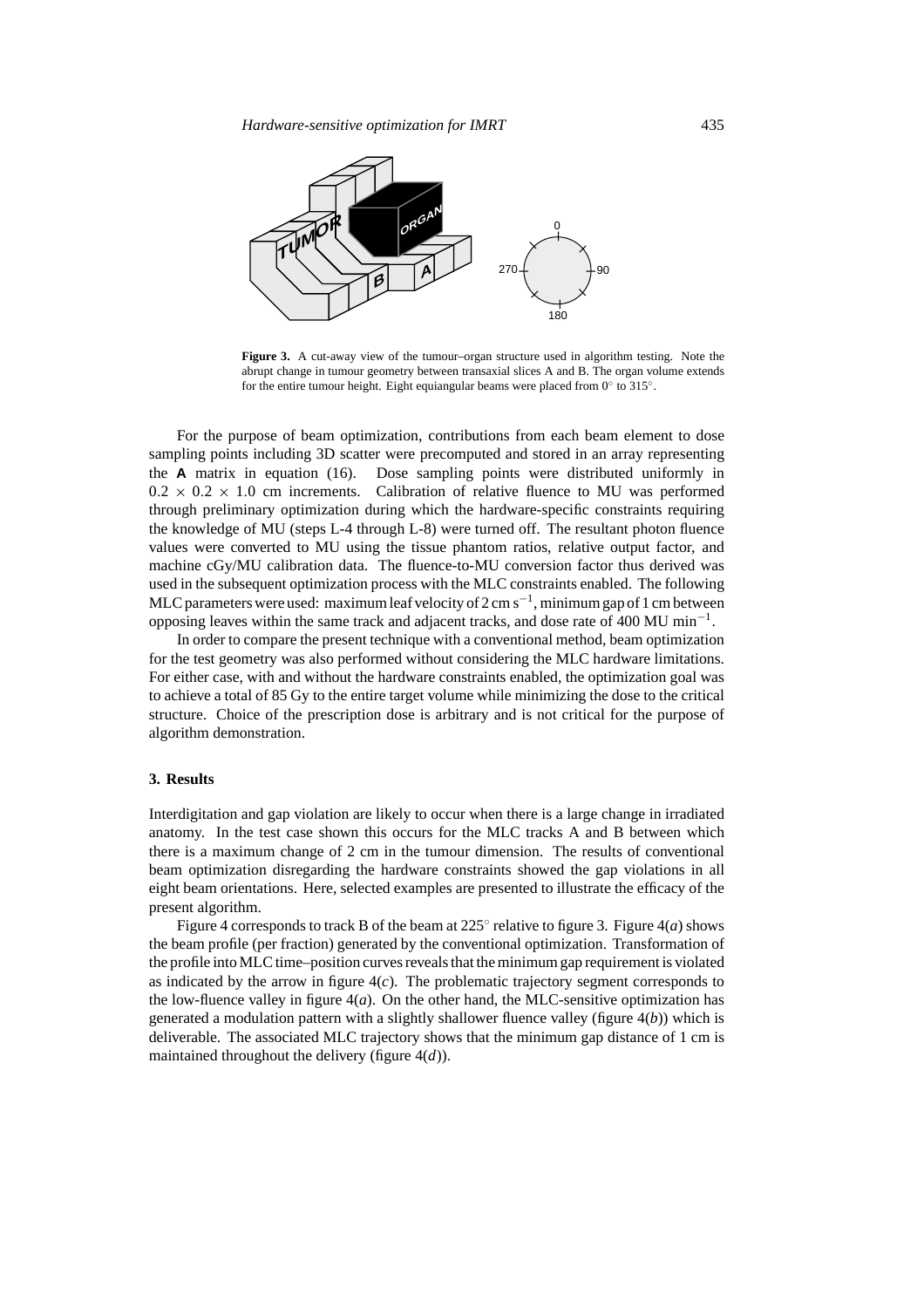

**Figure 3.** A cut-away view of the tumour–organ structure used in algorithm testing. Note the abrupt change in tumour geometry between transaxial slices A and B. The organ volume extends for the entire tumour height. Eight equiangular beams were placed from  $0°$  to 315°.

For the purpose of beam optimization, contributions from each beam element to dose sampling points including 3D scatter were precomputed and stored in an array representing the **A** matrix in equation (16). Dose sampling points were distributed uniformly in  $0.2 \times 0.2 \times 1.0$  cm increments. Calibration of relative fluence to MU was performed through preliminary optimization during which the hardware-specific constraints requiring the knowledge of MU (steps L-4 through L-8) were turned off. The resultant photon fluence values were converted to MU using the tissue phantom ratios, relative output factor, and machine cGy/MU calibration data. The fluence-to-MU conversion factor thus derived was used in the subsequent optimization process with the MLC constraints enabled. The following MLC parameters were used: maximum leaf velocity of 2 cm s<sup>−</sup>1, minimum gap of 1 cm between opposing leaves within the same track and adjacent tracks, and dose rate of 400 MU min<sup>-1</sup>.

In order to compare the present technique with a conventional method, beam optimization for the test geometry was also performed without considering the MLC hardware limitations. For either case, with and without the hardware constraints enabled, the optimization goal was to achieve a total of 85 Gy to the entire target volume while minimizing the dose to the critical structure. Choice of the prescription dose is arbitrary and is not critical for the purpose of algorithm demonstration.

## **3. Results**

Interdigitation and gap violation are likely to occur when there is a large change in irradiated anatomy. In the test case shown this occurs for the MLC tracks A and B between which there is a maximum change of 2 cm in the tumour dimension. The results of conventional beam optimization disregarding the hardware constraints showed the gap violations in all eight beam orientations. Here, selected examples are presented to illustrate the efficacy of the present algorithm.

Figure 4 corresponds to track B of the beam at 225◦ relative to figure 3. Figure 4(*a*) shows the beam profile (per fraction) generated by the conventional optimization. Transformation of the profile into MLC time–position curves reveals that the minimum gap requirement is violated as indicated by the arrow in figure 4(*c*). The problematic trajectory segment corresponds to the low-fluence valley in figure  $4(a)$ . On the other hand, the MLC-sensitive optimization has generated a modulation pattern with a slightly shallower fluence valley (figure 4(*b*)) which is deliverable. The associated MLC trajectory shows that the minimum gap distance of 1 cm is maintained throughout the delivery (figure 4(*d*)).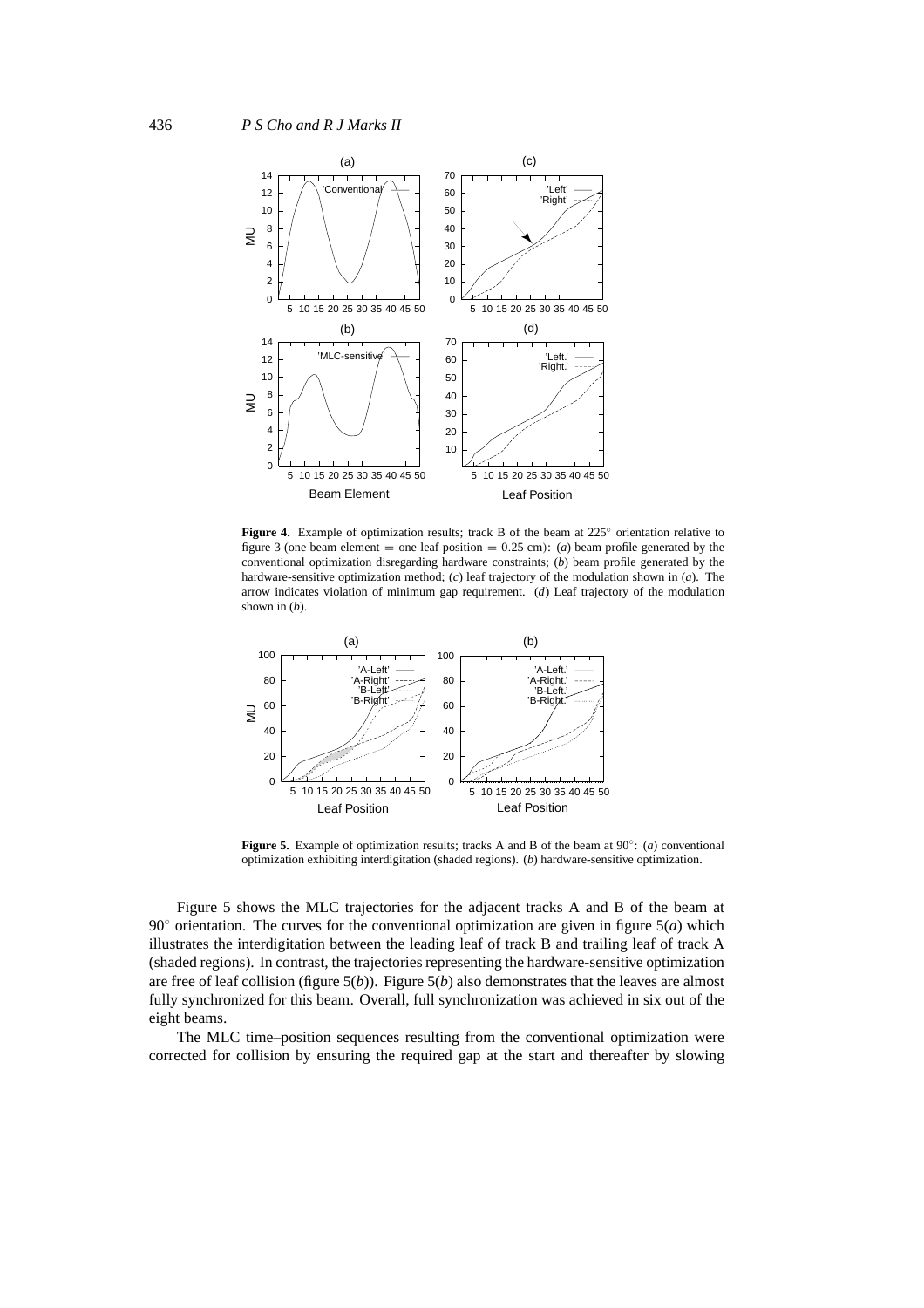

**Figure 4.** Example of optimization results; track B of the beam at 225◦ orientation relative to figure 3 (one beam element = one leaf position =  $0.25$  cm): (*a*) beam profile generated by the conventional optimization disregarding hardware constraints; (*b*) beam profile generated by the hardware-sensitive optimization method; (*c*) leaf trajectory of the modulation shown in (*a*). The arrow indicates violation of minimum gap requirement. (*d*) Leaf trajectory of the modulation shown in (*b*).



**Figure 5.** Example of optimization results; tracks A and B of the beam at 90◦: (*a*) conventional optimization exhibiting interdigitation (shaded regions). (*b*) hardware-sensitive optimization.

Figure 5 shows the MLC trajectories for the adjacent tracks A and B of the beam at 90 $\degree$  orientation. The curves for the conventional optimization are given in figure 5(*a*) which illustrates the interdigitation between the leading leaf of track B and trailing leaf of track A (shaded regions). In contrast, the trajectories representing the hardware-sensitive optimization are free of leaf collision (figure 5(*b*)). Figure 5(*b*) also demonstrates that the leaves are almost fully synchronized for this beam. Overall, full synchronization was achieved in six out of the eight beams.

The MLC time–position sequences resulting from the conventional optimization were corrected for collision by ensuring the required gap at the start and thereafter by slowing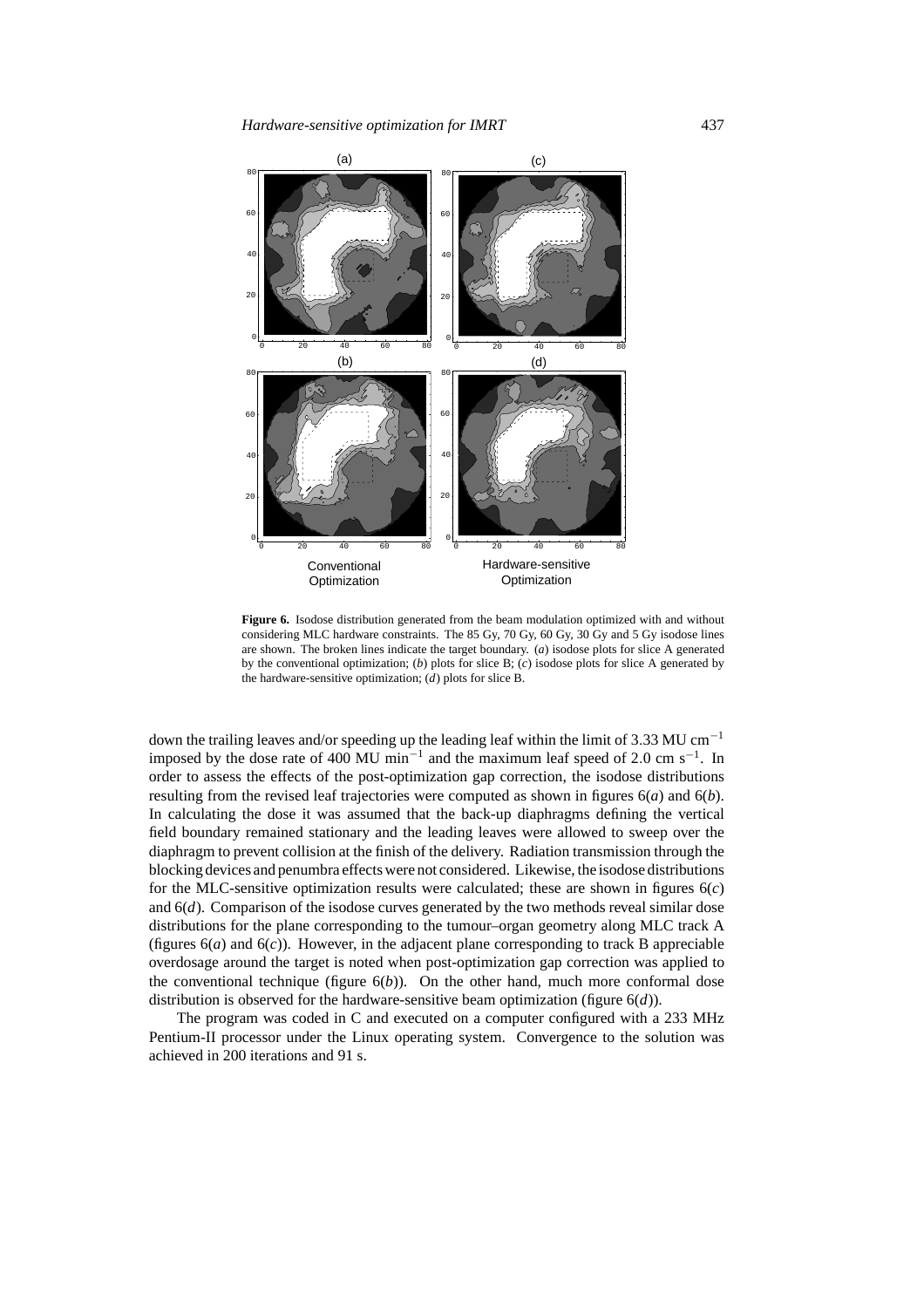

Figure 6. Isodose distribution generated from the beam modulation optimized with and without considering MLC hardware constraints. The 85 Gy, 70 Gy, 60 Gy, 30 Gy and 5 Gy isodose lines are shown. The broken lines indicate the target boundary. (*a*) isodose plots for slice A generated by the conventional optimization; (*b*) plots for slice B; (*c*) isodose plots for slice A generated by the hardware-sensitive optimization; (*d*) plots for slice B.

down the trailing leaves and/or speeding up the leading leaf within the limit of 3*.*33 MU cm<sup>−</sup><sup>1</sup> imposed by the dose rate of 400 MU min<sup>-1</sup> and the maximum leaf speed of 2.0 cm s<sup>-1</sup>. In order to assess the effects of the post-optimization gap correction, the isodose distributions resulting from the revised leaf trajectories were computed as shown in figures 6(*a*) and 6(*b*). In calculating the dose it was assumed that the back-up diaphragms defining the vertical field boundary remained stationary and the leading leaves were allowed to sweep over the diaphragm to prevent collision at the finish of the delivery. Radiation transmission through the blocking devices and penumbra effects were not considered. Likewise, the isodose distributions for the MLC-sensitive optimization results were calculated; these are shown in figures  $6(c)$ and 6(*d*). Comparison of the isodose curves generated by the two methods reveal similar dose distributions for the plane corresponding to the tumour–organ geometry along MLC track A (figures  $6(a)$  and  $6(c)$ ). However, in the adjacent plane corresponding to track B appreciable overdosage around the target is noted when post-optimization gap correction was applied to the conventional technique (figure  $6(b)$ ). On the other hand, much more conformal dose distribution is observed for the hardware-sensitive beam optimization (figure 6(*d*)).

The program was coded in C and executed on a computer configured with a 233 MHz Pentium-II processor under the Linux operating system. Convergence to the solution was achieved in 200 iterations and 91 s.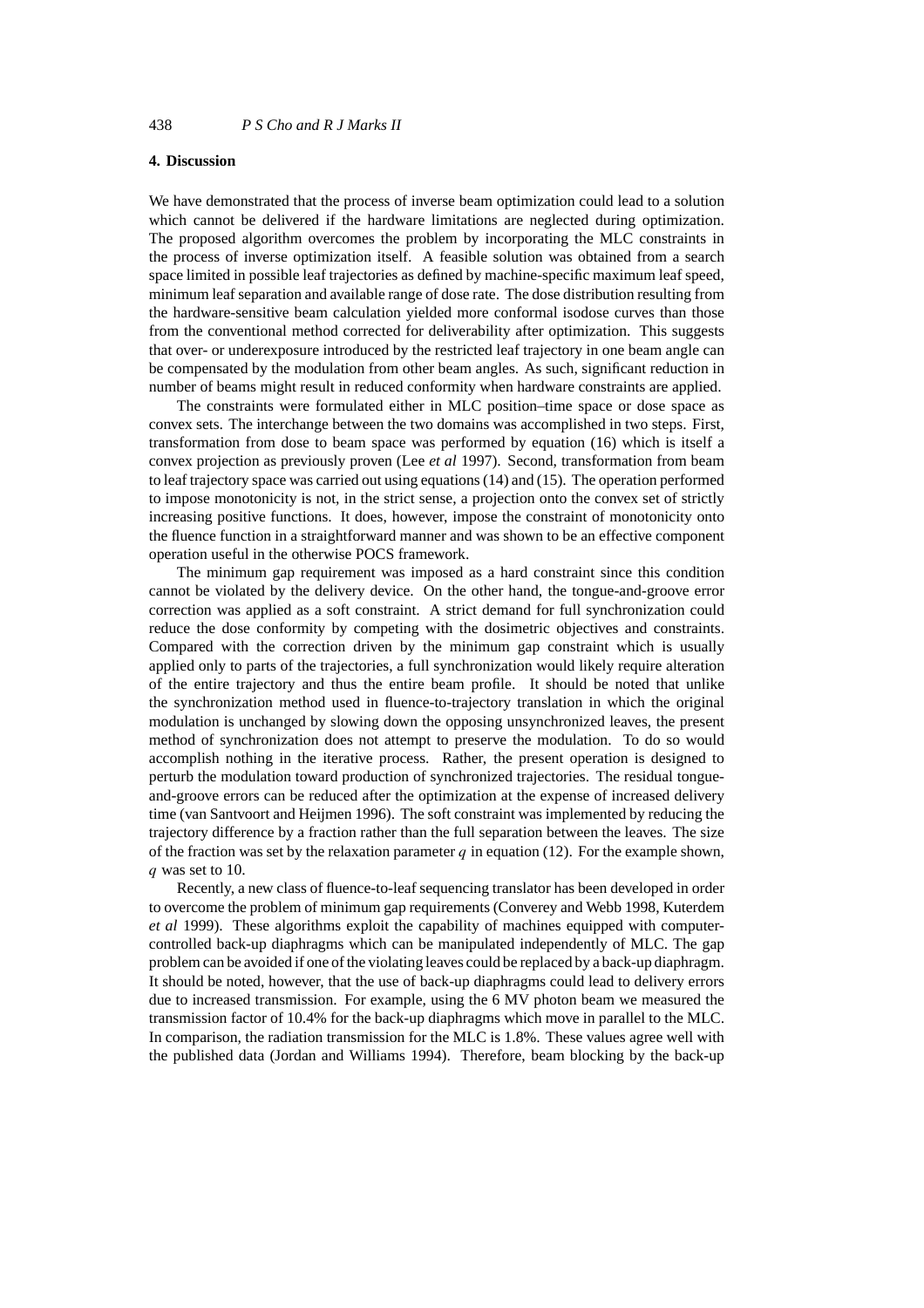# **4. Discussion**

We have demonstrated that the process of inverse beam optimization could lead to a solution which cannot be delivered if the hardware limitations are neglected during optimization. The proposed algorithm overcomes the problem by incorporating the MLC constraints in the process of inverse optimization itself. A feasible solution was obtained from a search space limited in possible leaf trajectories as defined by machine-specific maximum leaf speed, minimum leaf separation and available range of dose rate. The dose distribution resulting from the hardware-sensitive beam calculation yielded more conformal isodose curves than those from the conventional method corrected for deliverability after optimization. This suggests that over- or underexposure introduced by the restricted leaf trajectory in one beam angle can be compensated by the modulation from other beam angles. As such, significant reduction in number of beams might result in reduced conformity when hardware constraints are applied.

The constraints were formulated either in MLC position–time space or dose space as convex sets. The interchange between the two domains was accomplished in two steps. First, transformation from dose to beam space was performed by equation (16) which is itself a convex projection as previously proven (Lee *et al* 1997). Second, transformation from beam to leaf trajectory space was carried out using equations (14) and (15). The operation performed to impose monotonicity is not, in the strict sense, a projection onto the convex set of strictly increasing positive functions. It does, however, impose the constraint of monotonicity onto the fluence function in a straightforward manner and was shown to be an effective component operation useful in the otherwise POCS framework.

The minimum gap requirement was imposed as a hard constraint since this condition cannot be violated by the delivery device. On the other hand, the tongue-and-groove error correction was applied as a soft constraint. A strict demand for full synchronization could reduce the dose conformity by competing with the dosimetric objectives and constraints. Compared with the correction driven by the minimum gap constraint which is usually applied only to parts of the trajectories, a full synchronization would likely require alteration of the entire trajectory and thus the entire beam profile. It should be noted that unlike the synchronization method used in fluence-to-trajectory translation in which the original modulation is unchanged by slowing down the opposing unsynchronized leaves, the present method of synchronization does not attempt to preserve the modulation. To do so would accomplish nothing in the iterative process. Rather, the present operation is designed to perturb the modulation toward production of synchronized trajectories. The residual tongueand-groove errors can be reduced after the optimization at the expense of increased delivery time (van Santvoort and Heijmen 1996). The soft constraint was implemented by reducing the trajectory difference by a fraction rather than the full separation between the leaves. The size of the fraction was set by the relaxation parameter  $q$  in equation (12). For the example shown, *q* was set to 10.

Recently, a new class of fluence-to-leaf sequencing translator has been developed in order to overcome the problem of minimum gap requirements (Converey and Webb 1998, Kuterdem *et al* 1999). These algorithms exploit the capability of machines equipped with computercontrolled back-up diaphragms which can be manipulated independently of MLC. The gap problem can be avoided if one of the violating leaves could be replaced by a back-up diaphragm. It should be noted, however, that the use of back-up diaphragms could lead to delivery errors due to increased transmission. For example, using the 6 MV photon beam we measured the transmission factor of 10.4% for the back-up diaphragms which move in parallel to the MLC. In comparison, the radiation transmission for the MLC is 1.8%. These values agree well with the published data (Jordan and Williams 1994). Therefore, beam blocking by the back-up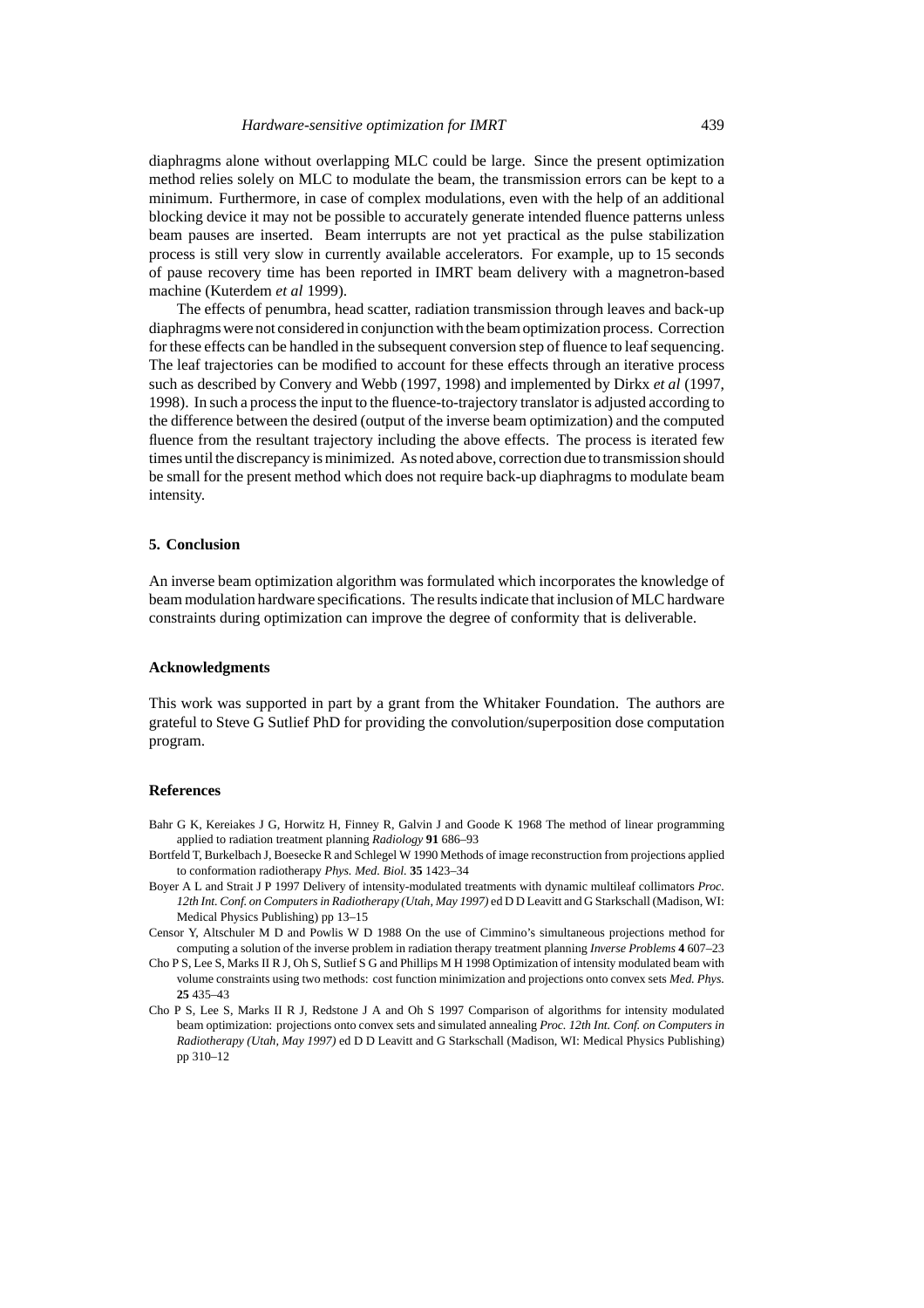diaphragms alone without overlapping MLC could be large. Since the present optimization method relies solely on MLC to modulate the beam, the transmission errors can be kept to a minimum. Furthermore, in case of complex modulations, even with the help of an additional blocking device it may not be possible to accurately generate intended fluence patterns unless beam pauses are inserted. Beam interrupts are not yet practical as the pulse stabilization process is still very slow in currently available accelerators. For example, up to 15 seconds of pause recovery time has been reported in IMRT beam delivery with a magnetron-based machine (Kuterdem *et al* 1999).

The effects of penumbra, head scatter, radiation transmission through leaves and back-up diaphragms were not considered in conjunction with the beam optimization process. Correction for these effects can be handled in the subsequent conversion step of fluence to leaf sequencing. The leaf trajectories can be modified to account for these effects through an iterative process such as described by Convery and Webb (1997, 1998) and implemented by Dirkx *et al* (1997, 1998). In such a process the input to the fluence-to-trajectory translator is adjusted according to the difference between the desired (output of the inverse beam optimization) and the computed fluence from the resultant trajectory including the above effects. The process is iterated few times until the discrepancy is minimized. As noted above, correction due to transmission should be small for the present method which does not require back-up diaphragms to modulate beam intensity.

# **5. Conclusion**

An inverse beam optimization algorithm was formulated which incorporates the knowledge of beam modulation hardware specifications. The results indicate that inclusion of MLC hardware constraints during optimization can improve the degree of conformity that is deliverable.

### **Acknowledgments**

This work was supported in part by a grant from the Whitaker Foundation. The authors are grateful to Steve G Sutlief PhD for providing the convolution/superposition dose computation program.

### **References**

- Bahr G K, Kereiakes J G, Horwitz H, Finney R, Galvin J and Goode K 1968 The method of linear programming applied to radiation treatment planning *Radiology* **91** 686–93
- Bortfeld T, Burkelbach J, Boesecke R and Schlegel W 1990 Methods of image reconstruction from projections applied to conformation radiotherapy *Phys. Med. Biol.* **35** 1423–34
- Boyer A L and Strait J P 1997 Delivery of intensity-modulated treatments with dynamic multileaf collimators *Proc. 12th Int. Conf. on Computers in Radiotherapy (Utah, May 1997)* ed D D Leavitt and G Starkschall (Madison, WI: Medical Physics Publishing) pp 13–15
- Censor Y, Altschuler M D and Powlis W D 1988 On the use of Cimmino's simultaneous projections method for computing a solution of the inverse problem in radiation therapy treatment planning *Inverse Problems* **4** 607–23
- Cho P S, Lee S, Marks II R J, Oh S, Sutlief S G and Phillips M H 1998 Optimization of intensity modulated beam with volume constraints using two methods: cost function minimization and projections onto convex sets *Med. Phys.* **25** 435–43
- Cho P S, Lee S, Marks II R J, Redstone J A and Oh S 1997 Comparison of algorithms for intensity modulated beam optimization: projections onto convex sets and simulated annealing *Proc. 12th Int. Conf. on Computers in Radiotherapy (Utah, May 1997)* ed D D Leavitt and G Starkschall (Madison, WI: Medical Physics Publishing) pp 310–12